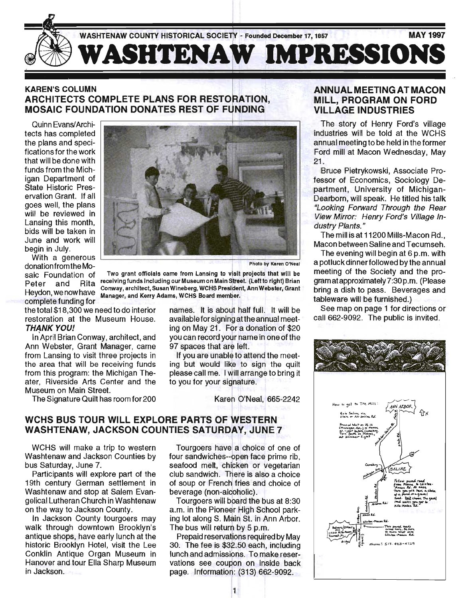

#### **KAREN'S COLUMN** ARCHITECTS COMPLETE PLANS FOR RESTORATION, **MOSAIC FOUNDATION DONATES REST OF FUNDING**

Quinn Evans/Architects has completed the plans and specifications for the work that will be done with funds from the Michigan Department of State Historic Preservation Grant. If all goes well, the plans will be reviewed in Lansing this month, bids will be taken in June and work will

donation from the Mosaic Foundation of Peter and Rita Heydon, we now have complete funding for

the total \$18,300 we need to do interior restoration at the Museum House. **THANK YOU!** 

In April Brian Conway, architect, and Ann Webster, Grant Manager, came from Lansing to visit three projects in the area that will be receiving funds from this program: the Michigan Theater, Riverside Arts Center and the Museum on Main Street.

The Signature Quilt has room for 200



Two grant officials came from Lansing to visit projects that will be receiving funds including our Museum on Main Street. (Left to right) Brian Conway, architect, Susan Wineberg, WCHS President, Ann Webster, Grant Manager, and Kerry Adams, WCHS Board member.

names. It is about half full. It will be available for signing at the annual meeting on May 21. For a donation of \$20 you can record your name in one of the 97 spaces that are left.

If you are unable to attend the meeting but would like to sign the quilt please call me. I will arrange to bring it to you for your signature.

Karen O'Neal, 665-2242

# WCHS BUS TOUR WILL EXPLORE PARTS OF WESTERN WASHTENAW, JACKSON COUNTIES SATURDAY, JUNE 7

WCHS will make a trip to western Washtenaw and Jackson Counties by bus Saturday, June 7.

Participants will explore part of the 19th century German settlement in Washtenaw and stop at Salem Evangelical Lutheran Church in Washtenaw on the way to Jackson County.

In Jackson County tourgoers may walk through downtown Brooklyn's antique shops, have early lunch at the historic Brooklyn Hotel, visit the Lee Conklin Antique Organ Museum in Hanover and tour Ella Sharp Museum in Jackson.

Tourgoers have a choice of one of four sandwiches--open face prime rib, seafood melt, chicken or vegetarian club sandwich. There is also a choice of soup or French fries and choice of beverage (non-alcoholic).

Tourgoers will board the bus at 8:30 a.m. in the Pioneer High School parking lot along S. Main St. in Ann Arbor. The bus will return by 5 p.m.

Prepaid reservations required by May 30. The fee is \$32.50 each, including lunch and admissions. To make reservations see coupon on inside back page. Information: (313) 662-9092.

#### ANNUAL MEETING AT MACON MILL, PROGRAM ON FORD VILLAGE INDUSTRIES

The story of Henry Ford's village industries will be told at the WCHS annual meeting to be held in the former Ford mill at Macon Wednesday, May 21.

Bruce Pietrykowski, Associate Professor of Economics, Sociology Department, University of Michigan-Dearborn, will speak. He titled his talk "Looking Forward Through the Rear View Mirror: Henry Ford's Vii/age Industry Plants."

The mill is at 11200 Mills-Macon Rd., Macon between Saline and Tecumseh.

The evening will begin at 6 p.m. with a potluck dinner followed by the annual meeting of the Society and the program at approximately 7:30 p.m. (Please bring a dish to pass. Beverages and tableware will be furnished.)

See map on page 1 for directions or call 662-9092. The public is invited.

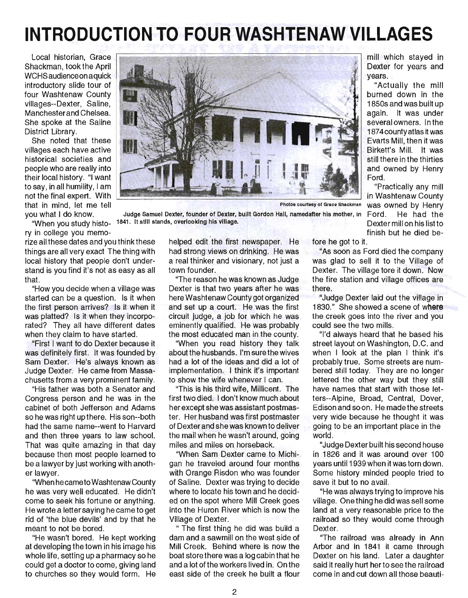# **INTRODUCTION TO FOUR WASHTENAW VILLAGES**

Local historian, Grace Shackman, took the April WCHS audience on aquick introductory slide tour of four Washtenaw County villages--Dexter, Saline, Manchesterand Chelsea. She spoke at the Saline District Library.

She noted that these villages each have active historical societies and people who are really into their local history. "I want to say, in all humility, I am not the final expert. With that in mind, let me tell



Photos courtesy of Grace Shackman was owned by Henry

you what I do know. Judge Samuel Dexter, founder of Dexter, built Gordon Hall, namedafter his mother, in Ford. He had the when you study histo- 1841. It still stands, overlooking his village. Dexter mill on his list to Dexter mill on his list to

ry in college you memo-

rize all these dates and you think these things are all very exact The thing with local history that people don't understand is you find it's not as easy as all that.

"How you decide when a village was started can be a question. Is it when the first person arrives? Is it when it was platted? Is it when they incorporated? They all have different dates when they claim to have started.

"First I want to do Dexter because it was definitely first. It was founded by Sam Dexter. He's always known as Judge Dexter. He came from Massachusetts from a very prominent family.

"His father was both a Senator and Congress person and he was in the cabinet of both Jefferson and Adams so he was right up there. His son--both had the same name--went to Harvard and then three years to law school. That was quite amazing in that day because then most people learned to be a lawyer by just working with another lawyer.

"When hecame to Washtenaw County he was very well educated. He didn't come to seek his fortune or anything. He wrote a letter saying he came to get rid of 'the blue devils' and by that he meant to not be bored.

"He wasn't bored. He kept working at developing the town in his image his whole life, setting up a pharmacy so he could get a doctor to come, giving land to churches so they would form. He helped edit the first newspaper. He had strong views on drinking. He was a real thinker and visionary, not just a town founder.

"The reason he was known as Judge Dexter is that two years after he was here Washtenaw County got organized and set up a court. He was the first circuit judge, a job for which he was eminently qualified. He was probably the most educated man in the county.

"When you read history they talk about the husbands. I'm sure the wives had a lot of the ideas and did a lot of implementation. I think it's important to show the wife whenever I can.

"This is his third wife, Millicent. The first two died. I don't know much about her except she was assistant postmaster. Her husband was first postmaster of Dexter and she was known to deliver the mail when he wasn't around, going miles and miles on horseback.

"When Sam Dexter came to Michigan he traveled around four months with Orange Risdon who was founder of Saline. Dexter was trying to decide where to locate his town and he decided on the spot where Mill Creek goes into the Huron River which is now the Village of Dexter.

" The first thing he did was build a dam and a sawmill on the west side of Mill Creek. Behind where is now the boat store there was a log cabin that he and a lot of the workers lived in. On the east side of the creek he built a flour

finish but he died before he got to it.

"As soon as Ford died the company was glad to sell it to the Village of Dexter. The village tore it down. Now the fire station and village offices are there.

Ford.

mill which stayed in Dexter for years and

"Actually the mill burned down in the 1850s and was built up again. It was under several owners. In the 1874countyatlas it was Evarts Mill, then it was Birkett's Mill. It was still there in the thirties and owned by Henry

"Practically any mill in Washtenaw County

years.

"Judge Dexter laid out the village in 1830." She showed a scene of where the creek goes into the river and you could see the two mills.

"I'd always heard that he based his street layout on Washington, D.C. and when I look at the plan I think it's probably true. Some streets are numbered still today. They are no longer lettered the other way but they still have names that start with those letters--Alpine, Broad, Central, Dover, Edison and soon. He madethestreets very wide because he thought it was going to be an important place in the world.

"Judge Dexter built his second house in 1826 and it was around over 100 years until 1939 when it was torn down. Some history minded people tried to save it but to no avail.

"He was always trying to improve his village. One thing he did was sell some land at a very reasonable price to the railroad so they would come through Dexter.

"The railroad was already in Ann Arbor and in 1841 it came through Dexter on his land. Later a daughter said it really hurt her to see the railroad come in and cut down all those beauti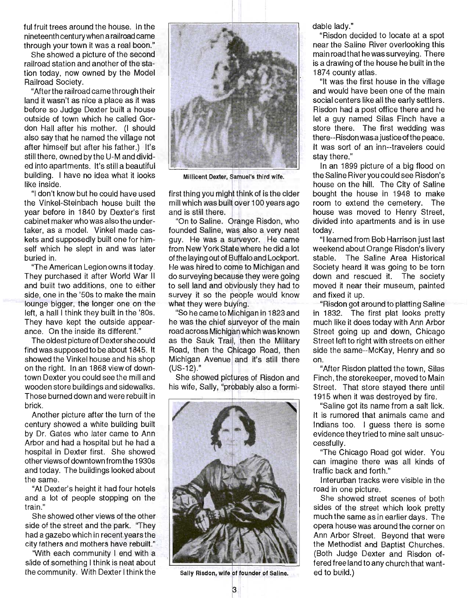ful fruit trees around the house. In the nineteenth century when a railroad came through your town it was a real boon."

She showed a picture of the second railroad station and another of the station today, now owned by the Model Railroad Society.

"After the railroad came through their land it wasn't as nice a place as it was before so Judge Dexter built a house outside of town which he called Gordon Hall after his mother. (I should also say that he named the village not after himself but after his father.) It's still there, owned by the U-M and divided into apartments. It's still a beautiful building. I have no idea what it looks like inside.

"I don't know but he could have used the Vinkel-Steinbach house built the year before in 1840 by Dexter's first cabinet maker who was also the undertaker, as a model. Vinkel made caskets and supposedly built one for himself which he slept in and was later buried in.

"The American Legion owns it today. They purchased it after World War II and built two additions, one to either side, one in the '50s to make the main lounge bigger, the longer one on the left, a hall I think they built in the '80s. They have kept the outside appearance. On the inside its different."

The oldest picture of Dexter she could find was supposed to be about 1845. It showed the Vinkel house and his shop on the right. In an 1868 view of downtown Dexter you could see the mill and wooden store buildings and sidewalks. Those burned down and were rebuilt in brick.

Another picture after the turn of the century showed a white building built by Dr. Gates who later came to Ann Arbor and had a hospital but he had a hospital in Dexter first. She showed other views of downtown from the 1930s and today. The buildings looked about the same.

"At Dexter's height it had four hotels and a lot of people stopping on the train."

She showed other views of the other side of the street and the park. "They had a gazebo which in recent years the city fathers and mothers have rebuilt."

"With each community I end with a slide of something I think is neat about the community. With Dexter I think the



Millicent Dexter, Samuel's third wife.

first thing you might think of is the cider mill which was built over 100 years ago and is still there.

"On to Saline. Orange Risdon, who founded Saline, was also a very neat guy. He was a surveyor. He came from New York State where he did a lot of the laying out of Buffalo and Lockport. He was hired to come to Michigan and do surveying because they were going to sell land and obviously they had to survey it so the people would know what they were buying.

"So he came to he was the chief surveyor of the main road across Michigan which was known as the Sauk Trail, then the Military Road, then the Chicago Road, then Michigan Avenue and it's still there  $(US-12).$ "

She showed pictures of Risdon and his wife, Sally, "probably also a formi-



Sally Risdon, wife of founder of Saline.

dable lady."

"Risdon decided to locate at a spot near the Saline River overlooking this main road that he was surveying. There is a drawing of the house he built in the 1874 county atlas.

"It was the first house in the village and would have been one of the main social centers like all the early settlers. Risdon had a post office there and he let a guy named Silas Finch have a store there. The first wedding was there--Risdon was a justice ofthe peace. It was sort of an inn--travelers could stay there."

In an 1899 picture of a big flood on the Saline River you could see Risdon's house on the hill. The City of Saline bought the house in 1948 to make room to extend the cemetery. The house was moved to Henry Street, divided into apartments and is in use today.

"I learned from Bob Harrison just last weekend about Orange Risdon's livery stable. The Saline Area Historical Society heard it was going to be torn down and rescued it. The society moved it near their museum, painted and fixed it up.

"Risdon got around to platting Saline in 1832. The first plat looks pretty much like it does today with Ann Arbor Street going up and down, Chicago Street left to right with streets on either side the same--McKay, Henry and so on.

"After Risdon platted the town, Silas Finch, the storekeeper, moved to Main Street. That store stayed there until 1915 when it was destroyed by fire.

"Saline got its name from a salt lick. It is rumored that animals came and Indians too. I quess there is some evidence they tried to mine salt unsuccessfully.

"The Chicago Road got wider. You can imagine there was all kinds of traffic back and forth."

Interurban tracks were visible in the road in one picture.

She showed street scenes of both sides of the street which look pretty much the same as in earlier days. The opera house was around the corner on Ann Arbor Street. Beyond that were the Methodist and Baptist Churches. (Both Judge Dexter and Risdon offered free land to any church that wanted to build.)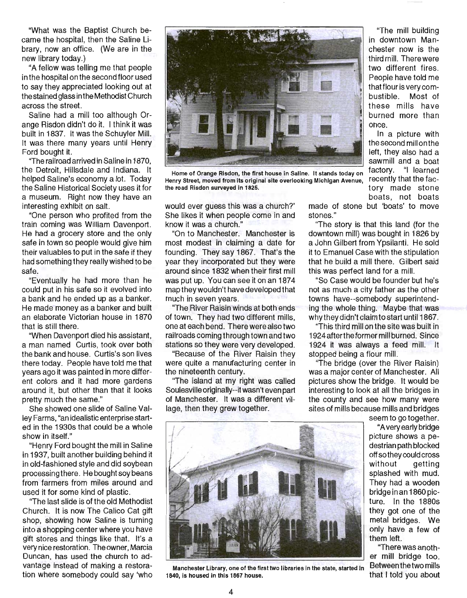"What was the Baptist Church became the hospital, then the Saline Library, now an office. (We are in the new library today.)

"A fellow was telling me that people in the hospital on the second floor used to say they appreciated looking out at the stained glass in the Methodist Church across the street.

Saline had a mill too although Orange Risdon didn't do it. I think it was built in 1837. It was the Schuyler Mill. It was there many years until Henry Ford bought it.

''The railroad arrived in Saline in 1870, the Detroit, Hillsdale and Indiana. It helped Saline's economy a lot. Today the Saline Historical Society uses it for a museum. Right now they have an interesting exhibit on salt.

"One person who profited from the train coming was William Davenport. He had a grocery store and the only safe in town so people would give him their valuables to put in the safe if they had something they really wished to be safe.

"Eventually he had more than he could put in his safe so it evolved into a bank and he ended up as a banker. He made money as a banker and built an elaborate Victorian house in 1870 that is still there.

"When Davenport died his assistant, a man named Curtis, took over both the bank and house. Curtis's son lives there today. People have told me that years ago it was painted in more different colors and it had more gardens around it, but other than that it looks pretty much the same."

She showed one slide of Saline Valley Farms, "an idealistic enterprise started in the 1930s that could be a whole show in itself."

"Henry Ford bought the mill in Saline in 1937, built another building behind it in old-fashioned style and did soybean processing there. He bought soy beans from farmers from miles around and used it for some kind of plastic.

"The last slide is of the old Methodist Church. It is now The Calico Cat gift shop, showing how Saline is turning into a shopping center where you have gift stores and things like that. It's a very nice restoration. The owner, Marcia Duncan, has used the church to advantage instead of making a restoration where somebody could say 'who



Home of Orange Risdon, the first house in Saline. It stands today on Henry Street, moved from its original site overlooking Michigan Avenue, the road Risdon surveyed in 1825.

would ever guess this was a church?' She likes it when people come in and know it was a church."

"On to Manchester. Manchester is most modest in claiming a date for founding. They say 1867. That's the year they incorporated but they were around since 1832 when their first mill was put up. You can see it on an 1874 map they wouldn't have developed that much in seven years.

"The River Raisin winds at both ends of town. They had two different mills, one at each bend. There were also two railroads coming through town and two stations so they were very developed.

"Because of the River Raisin they were quite a manufacturing center in the nineteenth century.

"The island at my right was called Soulesville originally--it wasn't even part of Manchester. It was a different village, then they grew together.

made of stone but 'boats' to move stones."

once.

"The mill building in downtown Manchester now is the third mill. There were two different fires. People have told me that flour is very combustible. Most of these mills have burned more than

In a picture with the second mill on the left, they also had a sawmill and a boat factory. "I learned recently that the factory made stone

boats, not boats

"The story is that this land (for the downtown mill) was bought in 1826 by a John Gilbert from Ypsilanti. He sold it to Emanuel Case with the stipulation that he build a mill there. Gilbert said this was perfect land for a mill.

"So Case would be founder but he's not as much a city father as the other towns have--somebody superintending the whole thing. Maybe that was why they didn't claim to start until 1867.

"This third mill on the site was built in 1924 afterthe former mill burned. Since 1924 it was always a feed mill. It stopped being a flour mill.

"The bridge (over the River Raisin) was a major center of Manchester. All pictures show the bridge. It would be interesting to look at all the bridges in the county and see how many were sites of mills because mills and bridges

seem to go together.

"A very early bridge picture shows a pedestrian path blocked off so they could cross without getting splashed with mud. They had a wooden bridge in an 1860 picture. In the 1880s they got one of the metal bridges. We only have a few of them left.

"There was another mill bridge too.



Manchester Library, one of the first two libraries in the state, started in Between the two mills<br>40, is housed in this 1867 house. 1840, is housed in this 1867 house.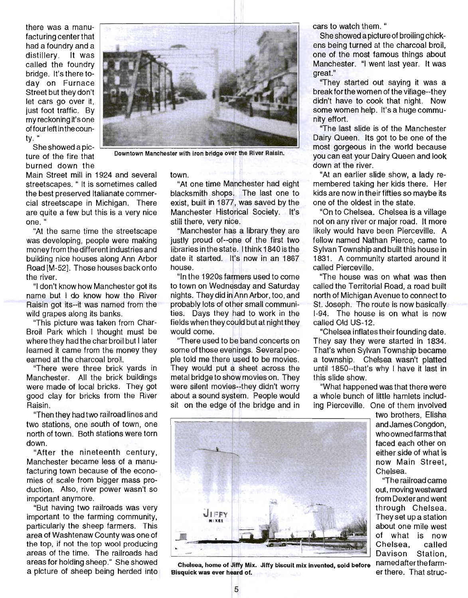there was a manufacturing center that had a foundry and a distillery. It was called the foundry bridge. It's there today on Furnace Street but they don't let cars go over it, just foot traffic. By my reckoning it's one offour left in the county. "

She showed a picburned down the down at the river.



ture of the fire that Downtown Manchester with iron bridge over the River Raisin.

Main Street mill in 1924 and several streetscapes. " It is sometimes called the best preserved Italianate commercial streetscape in Michigan. There are quite a few but this is a very nice one. "

"At the same time the streetscape was developing, people were making money from the different industries and building nice houses along Ann Arbor Road [M-52]. Those houses back onto the river.

"I don't know how Manchester got its name but I do know how the River Raisin got its--it was named from the wild grapes along its banks.

"This picture was taken from Char-Broil Park which I thought must be where they had the char broil but I later learned it came from the money they earned at the charcoal broil.

"There were three brick yards in Manchester. All the brick buildings were made of local bricks. They got good clay for bricks from the River Raisin.

"Then they had two railroad lines and two stations, one south of town, one north of town. Both stations were torn down.

"After the nineteenth century, Manchester became less of a manufacturing town because of the economies of scale from bigger mass production. Also, river power wasn't so important anymore.

"But having two railroads was very important to the farming community, particularly the sheep farmers. This area of Washtenaw County was one of the top, if not the top wool producing areas of the time. The railroads had areas for holding sheep." She showed a picture of sheep being herded into town.

"At one time Mqnchester had eight blacksmith shops. The last one to exist, built in 1877, was saved by the Manchester Historical Society. It's still there, very nice.

"Manchester has a library they are justly proud of--one of the first two libraries in the state. I think 1840 is the date it started. It's now in an 1867 house.

"In the 1920s farmers used to come to town on Wednesday and Saturday nights. They did in Ann Arbor, too, and probably lots of other small communities. Days they had to work in the fields when they could but at night they would come.

"There used to be band concerts on some of those evenings. Several people told me there used to be movies. They would put a sheet across the metal bridge to show movies on. They were silent movies--they didn't worry about a sound system. People would sit on the edge of the bridge and in



She showed a picture of broiling chickens being turned at the charcoal broil, one of the most famous things about Manchester. "I went last year. It was great."

"They started out saying it was a break for the women of the village--they didn't have to cook that night. Now some women help. It's a huge community effort.

"The last slide is of the Manchester Dairy Queen. Its got to be one of the most gorgeous in the world because you can eat your Dairy Queen and look

"At an earlier slide show, a lady remembered taking her kids there. Her kids are now in their fifties so maybe its one of the oldest in the state.

"On to Chelsea. Chelsea is a village not on any river or major road. It more likely would have been Pierceville. A fellow named Nathan Pierce, came to Sylvan Township and built this house in 1831. A community started around it called Pierceville.

"The house was on what was then called the Territorial Road, a road built north of Michigan Avenue to connect to St. Joseph. The route is now basically 1-94. The house is on what is now called Old US-12.

"Chelsea inflates their founding date. They say they were started in 1834. That's when Sylvan Township became a townShip. Chelsea wasn't platted until 1850--that's why I have it last in this slide show.

"What happened was that there were a whole bunch of little hamlets including Pierceville. One of them involved

> two brothers, Elisha and James Congdon, who owned farms that faced each other on either side of what is now Main Street, Chelsea.

> "The railroad came out, moving westward from Dexter and went through Chelsea. They set up a station about one mile west of what is now Chelsea, called Davison Station, named afterthe farmer there. That struc-



Chelsea, home of Jiffy Mix. Jiffy biscuit mix invented, sold before Bisquick was ever heard of.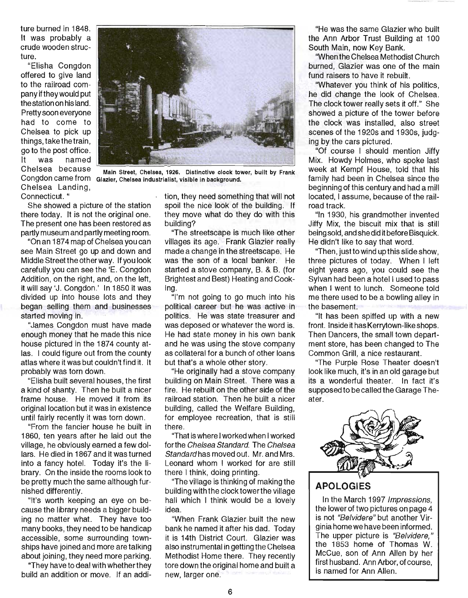ture burned in 1848. It was probably a crude wooden structure.

"Elisha Congdon offered to give land to the railroad company if they would put the station on his land. Pretty soon everyone had to come to Chelsea to pick up things, take the train, go to the post office. It was named Chelsea Landing, Connecticut. "



Chelsea because Main Street, Chelsea, 1926. Distinctive clock tower, built by Frank Congdon came from Glazier, Chelsea Industrialist, visible in background.

She showed a picture of the station there today. It is not the original one. The present one has been restored as partly museum and partly meeting room.

"On an 1874 map of Chelsea you can see Main Street go up and down and Middle Street the other way. If you look carefully you can see the 'E. Congdon Addition, on the right, and, on the left, it will say 'J. Congdon.' In 1850 it was divided up into house lots and they began selling them and businesses started moving in.

"James Congdon must have made enough money that he made this nice house pictured in the 1874 county atlas. I could figure out from the county atlas where it was but couldn't find it. It probably was torn down.

"Elisha built several houses, the first a kind of shanty. Then he built a nicer frame house. He moved it from its original location but it was in existence until fairly recently it was torn down.

"From the fancier house he built in 1860, ten years after he laid out the village, he obviously earned a few dollars. He died in 1867 and it was turned into a fancy hotel. Today it's the library. On the inside the rooms look to be pretty much the same although furnished differently.

"It's worth keeping an eye on because the library needs a bigger building no matter what. They have too many books, they need to be handicap accessible, some surrounding townships have joined and more are talking about joining, they need more parking.

"They have to deal with whether they build an addition or move. If an addition, they need something that will not spoil the nice look of the building. If they move what do they do with this building?

"The streetscape is much like other villages its age. Frank Glazier really made a change in the streetscape. He was the son of a local banker. He started a stove company, B. & B. (for Brightest and Best) Heating and Cooking.

"I'm not going to go much into his political career but he was active in politics. He was state treasurer and was deposed or whatever the word is. He had state money in his own bank and he was using the stove company as collateral for a bunch of other loans but that's a whole other story.

"He originally had a stove company building on Main Street. There was a fire. He rebuilt on the other side of the railroad station. Then he built a nicer building, called the Welfare Building, for employee recreation, that is still there.

"That is where I worked when I worked forthe Chelsea Standard. The Chelsea Standard has moved out. Mr. and Mrs. Leonard whom I worked for are still there I think, doing printing.

"The village is thinking of making the building with the clock tower the village hall which I think would be a lovely idea.

"When Frank Glazier built the new bank he named it after his dad. Today it is 14th District Court. Glazier was also instrumental in getting the Chelsea Methodist Home there. They recently tore down the original home and built a new, larger one.

"He was the same Glazier who built the Ann Arbor Trust Building at 100 South Main, now Key Bank.

"When the Chelsea Methodist Church burned, Glazier was one of the main fund raisers to have it rebuilt.

"Whatever you think of his politics, he did change the look of Chelsea. The clock tower really sets it off." She showed a picture of the tower before the clock was installed, also street scenes of the 1920s and 1930s, judging by the cars pictured.

"Of course I should mention Jiffy Mix. Howdy Holmes, who spoke last week at Kempf House, told that his family had been in Chelsea since the beginning of this century and had a mill located, I assume, because of the railroad track.

"In 1930, his grandmother invented Jiffy Mix, the biscuit mix that is still being sold, and she did it before Bisquick. He didn't like to say that word.

"Then, justto wind up this slide show, three pictures of today. When I left eight years ago, you could see the Sylvan had been a hotel I used to pass when I went to lunch. Someone told me there used to be a bowling alley in the basement.

"It has been spiffed up with a new front. Inside it has Kerrytown-like shops. Then Dancers, the small town department store, has been changed to The Common Grill, a nice restaurant.

"The Purple Rose Theater doesn't look like much, it's in an old garage but its a wonderful theater. In fact it's supposed to be called the Garage Theater.



# **APOLOGIES**

In the March 1997 Impressions, the lower of two pictures on page 4 is not "Belvidere" but another Virginia home we have been informed. The upper picture is "Belvidere," the 1853 home of Thomas W. McCue, son of Ann Allen by her first husband. Ann Arbor, of course, is named for Ann Allen.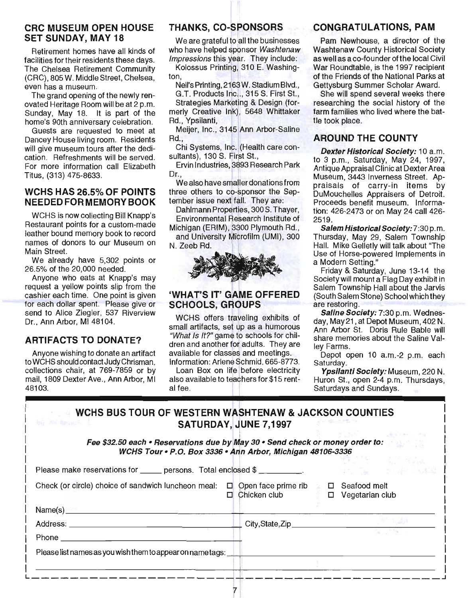#### CRC MUSEUM OPEN HOUSE SET SUNDAY, MAY 18

Retirement homes have all kinds of facilities for their residents these days. The Chelsea Retirement Community (CRC), 805 W. Middle Street, Chelsea, even has a museum.

The grand opening of the newly renovated Heritage Room will be at 2 p.m. Sunday, May 18. It is part of the home's 90th anniversary celebration.

Guests are requested to meet at Dancey House living room. Residents will give museum tours after the dedication. Refreshments will be served. For more information call Elizabeth Titus, (313) 475-8633.

#### WCHS HAS 26.5% OF POINTS NEEDEDFORMEMORY BOOK

WCHS is now collecting Bill Knapp's Restaurant points for a custom-made leather bound memory book to record names of donors to our Museum on Main Street.

We already have 5,302 points or 26.5% of the 20,000 needed.

Anyone who eats at Knapp's may request a yellow points slip from the cashier each time. One point is given for each dollar spent. Please give or send to Alice Ziegler, 537 Riverview Dr., Ann Arbor, MI 48104.

## ARTIFACTS TO DONATE?

Anyone wishing to donate an artifact to WCHS should contact Judy Chrisman, collections chair, at 769-7859 or by mail, 1809 Dexter Ave., Ann Arbor, MI 48103.

# THANKS, CO-SPONSORS

We are grateful to all the businesses who have helped sponsor Washtenaw Impressions this year. They include:

Kolossus Printing, 310 E. Washington,

Neil's Printing, 2163 W. Stadium Blvd.,

G.T. Products Inc... 315 S. First St., Strategies Marketing & Design (formerly Creative Ink), 5648 Whittaker Rd., Ypsilanti,

Meijer, Inc., 3145 Ann Arbor-Saline Rd.,

Chi Systems, Inc. (Health care consultants), 130 S. First St.,

Ervin Industries, 3893 Research Park Dr.,

We also have smaller donations from three others to co-sponsor the September issue next fall. They are:

Dahlmann Properties, 300 S. Thayer, Environmental Research Institute of

Michigan (ERIM), 3300 Plymouth Rd., and University Microfilm (UMI), 300

N. Zeeb Rd.



## 'WHAT'S IT' GAME OFFERED SCHOOLS, GROUPS

WCHS offers traveling exhibits of small artifacts, set up as a humorous "What Is It?" game to schools for children and another for adults. They are available for classes and meetings. Information: Arlene Schmid, 665-8773.

Loan Box on life before electricity also available to teachers for \$15 rent-<br>al fee.

E I

## CONGRATULATIONS, PAM

Pam Newhouse, a director of the Washtenaw County Historical Society as well as a co-founder of the local Civil War Roundtable, is the 1997 recipient of the Friends of the National Parks at Gettysburg Summer Scholar Award.

She will spend several weeks there researching the social history of the farm families who lived where the battle took place.

#### AROUND THE COUNTY

Dexter Historical Society: 10 a.m. to 3 p.m., Saturday, May 24, 1997, Antique Appraisal Clinic at Dexter Area Museum, 3443 Inverness Street. Appraisals of carry-in items by DuMouchelles Appraisers of Detroit. Proceeds benefit museum. Information: 426-2473 or on May 24 call 426- 2519.

Salem Historical Society: 7:30 p.m. Thursday, May 29, Salem Township Hall. Mike Gelletly will talk about "The Use of Horse-powered Implements in a Modern Setting."

Friday & Saturday, June 13-14 the Society will mount a Flag Day exhibit in Salem Township Hall about the Jarvis (South Salem Stone) Schoolwhichthey are restoring.

Saline Society: 7:30 p.m. Wednesday, May21 , at Depot Museum, 402 N. Ann Arbor St. Doris Rule Bable will share memories about the Saline Valley Farms.

Depot open 10 a.m.-2 p.m. each Saturday.

Ypsilanti Society: Museum, 220 N. Huron St., open 2-4 p.m. Thursdays, Saturdays and Sundays.

| WCHS BUS TOUR OF WESTERN WASHTENAW & JACKSON COUNTIES |  |
|-------------------------------------------------------|--|
| <b>SATURDAY, JUNE 7,1997</b>                          |  |

Fee \$32.50 each • Reservations due by May 30 • Send check or money order to: WCHS Tour • P.O. Box 3336 • Ann Arbor, Michigan 48106-3336

| Please make reservations for ______ persons. Total enclosed \$ __________. |                                            | 100 MB - 제10 4 MB<br>The South States    |
|----------------------------------------------------------------------------|--------------------------------------------|------------------------------------------|
| Check (or circle) choice of sandwich luncheon meal:                        | $\Box$ Open face prime rib<br>Chicken club | □ Seafood melt<br>$\Box$ Vegetarian club |
|                                                                            |                                            |                                          |
| Address: ____________                                                      |                                            |                                          |
| Phone $\_\_$                                                               |                                            |                                          |
| Please list names as you wish them to appear on name tags:                 |                                            |                                          |
|                                                                            |                                            |                                          |
|                                                                            |                                            |                                          |

 $\overline{7}$